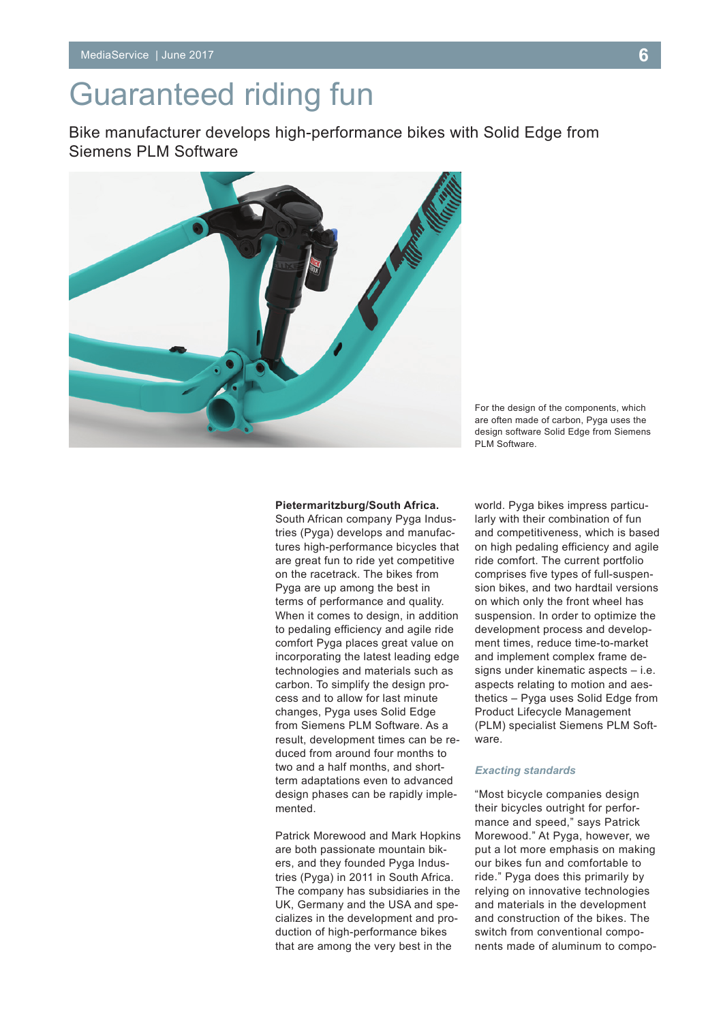# Guaranteed riding fun

Bike manufacturer develops high-performance bikes with Solid Edge from Siemens PLM Software



For the design of the components, which are often made of carbon, Pyga uses the design software Solid Edge from Siemens PLM Software.

#### **Pietermaritzburg/South Africa.**

South African company Pyga Industries (Pyga) develops and manufactures high-performance bicycles that are great fun to ride yet competitive on the racetrack. The bikes from Pyga are up among the best in terms of performance and quality. When it comes to design, in addition to pedaling efficiency and agile ride comfort Pyga places great value on incorporating the latest leading edge technologies and materials such as carbon. To simplify the design process and to allow for last minute changes, Pyga uses Solid Edge from Siemens PLM Software. As a result, development times can be reduced from around four months to two and a half months, and shortterm adaptations even to advanced design phases can be rapidly implemented.

Patrick Morewood and Mark Hopkins are both passionate mountain bikers, and they founded Pyga Industries (Pyga) in 2011 in South Africa. The company has subsidiaries in the UK, Germany and the USA and specializes in the development and production of high-performance bikes that are among the very best in the

world. Pyga bikes impress particularly with their combination of fun and competitiveness, which is based on high pedaling efficiency and agile ride comfort. The current portfolio comprises five types of full-suspension bikes, and two hardtail versions on which only the front wheel has suspension. In order to optimize the development process and development times, reduce time-to-market and implement complex frame designs under kinematic aspects – i.e. aspects relating to motion and aesthetics – Pyga uses Solid Edge from Product Lifecycle Management (PLM) specialist Siemens PLM Software.

### *Exacting standards*

"Most bicycle companies design their bicycles outright for performance and speed," says Patrick Morewood." At Pyga, however, we put a lot more emphasis on making our bikes fun and comfortable to ride." Pyga does this primarily by relying on innovative technologies and materials in the development and construction of the bikes. The switch from conventional components made of aluminum to compo